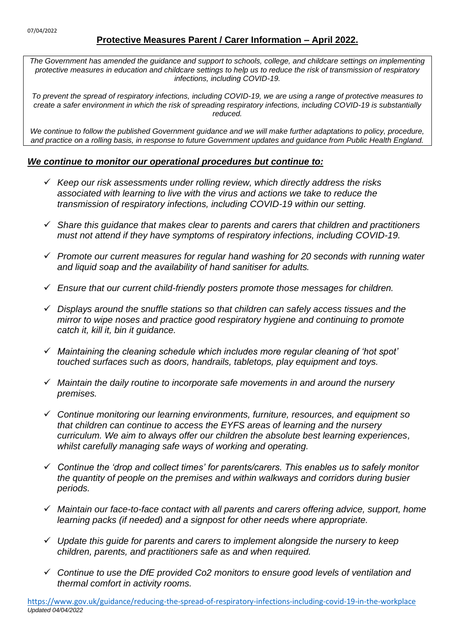# **Protective Measures Parent / Carer Information – April 2022.**

*The Government has amended the guidance and support to schools, college, and childcare settings on implementing protective measures in education and childcare settings to help us to reduce the risk of transmission of respiratory infections, including COVID-19.*

*To prevent the spread of respiratory infections, including COVID-19, we are using a range of protective measures to create a safer environment in which the risk of spreading respiratory infections, including COVID-19 is substantially reduced.*

We continue to follow the published Government quidance and we will make further adaptations to policy, procedure, *and practice on a rolling basis, in response to future Government updates and guidance from Public Health England.*

#### *We continue to monitor our operational procedures but continue to:*

- ✓ *Keep our risk assessments under rolling review, which directly address the risks associated with learning to live with the virus and actions we take to reduce the transmission of respiratory infections, including COVID-19 within our setting.*
- ✓ *Share this guidance that makes clear to parents and carers that children and practitioners must not attend if they have symptoms of respiratory infections, including COVID-19.*
- ✓ *Promote our current measures for regular hand washing for 20 seconds with running water and liquid soap and the availability of hand sanitiser for adults.*
- ✓ *Ensure that our current child-friendly posters promote those messages for children.*
- ✓ *Displays around the snuffle stations so that children can safely access tissues and the mirror to wipe noses and practice good respiratory hygiene and continuing to promote catch it, kill it, bin it guidance.*
- ✓ *Maintaining the cleaning schedule which includes more regular cleaning of 'hot spot' touched surfaces such as doors, handrails, tabletops, play equipment and toys.*
- ✓ *Maintain the daily routine to incorporate safe movements in and around the nursery premises.*
- ✓ *Continue monitoring our learning environments, furniture, resources, and equipment so that children can continue to access the EYFS areas of learning and the nursery curriculum. We aim to always offer our children the absolute best learning experiences, whilst carefully managing safe ways of working and operating.*
- ✓ *Continue the 'drop and collect times' for parents/carers. This enables us to safely monitor the quantity of people on the premises and within walkways and corridors during busier periods.*
- ✓ *Maintain our face-to-face contact with all parents and carers offering advice, support, home learning packs (if needed) and a signpost for other needs where appropriate.*
- ✓ *Update this guide for parents and carers to implement alongside the nursery to keep children, parents, and practitioners safe as and when required.*
- ✓ *Continue to use the DfE provided Co2 monitors to ensure good levels of ventilation and thermal comfort in activity rooms.*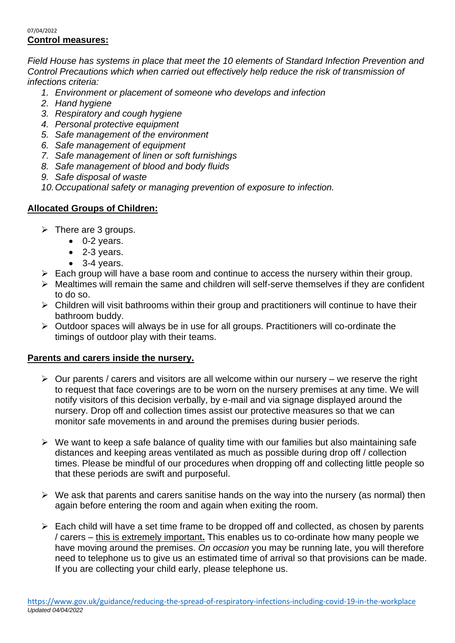#### 07/04/2022 **Control measures:**

*Field House has systems in place that meet the 10 elements of Standard Infection Prevention and Control Precautions which when carried out effectively help reduce the risk of transmission of infections criteria:*

- *1. Environment or placement of someone who develops and infection*
- *2. Hand hygiene*
- *3. Respiratory and cough hygiene*
- *4. Personal protective equipment*
- *5. Safe management of the environment*
- *6. Safe management of equipment*
- *7. Safe management of linen or soft furnishings*
- *8. Safe management of blood and body fluids*
- *9. Safe disposal of waste*
- *10.Occupational safety or managing prevention of exposure to infection.*

### **Allocated Groups of Children:**

- $\triangleright$  There are 3 groups.
	- 0-2 years.
	- 2-3 years.
	- 3-4 years.
- $\triangleright$  Each group will have a base room and continue to access the nursery within their group.
- ➢ Mealtimes will remain the same and children will self-serve themselves if they are confident to do so.
- ➢ Children will visit bathrooms within their group and practitioners will continue to have their bathroom buddy.
- ➢ Outdoor spaces will always be in use for all groups. Practitioners will co-ordinate the timings of outdoor play with their teams.

#### **Parents and carers inside the nursery.**

- $\triangleright$  Our parents / carers and visitors are all welcome within our nursery we reserve the right to request that face coverings are to be worn on the nursery premises at any time. We will notify visitors of this decision verbally, by e-mail and via signage displayed around the nursery. Drop off and collection times assist our protective measures so that we can monitor safe movements in and around the premises during busier periods.
- ➢ We want to keep a safe balance of quality time with our families but also maintaining safe distances and keeping areas ventilated as much as possible during drop off / collection times. Please be mindful of our procedures when dropping off and collecting little people so that these periods are swift and purposeful.
- $\triangleright$  We ask that parents and carers sanitise hands on the way into the nursery (as normal) then again before entering the room and again when exiting the room.
- $\triangleright$  Each child will have a set time frame to be dropped off and collected, as chosen by parents / carers – this is extremely important**.** This enables us to co-ordinate how many people we have moving around the premises. *On occasion* you may be running late, you will therefore need to telephone us to give us an estimated time of arrival so that provisions can be made. If you are collecting your child early, please telephone us.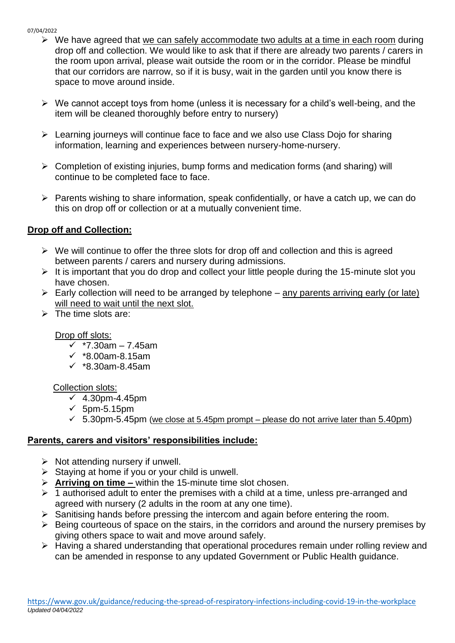- $\triangleright$  We have agreed that we can safely accommodate two adults at a time in each room during drop off and collection. We would like to ask that if there are already two parents / carers in the room upon arrival, please wait outside the room or in the corridor. Please be mindful that our corridors are narrow, so if it is busy, wait in the garden until you know there is space to move around inside.
- $\triangleright$  We cannot accept toys from home (unless it is necessary for a child's well-being, and the item will be cleaned thoroughly before entry to nursery)
- ➢ Learning journeys will continue face to face and we also use Class Dojo for sharing information, learning and experiences between nursery-home-nursery.
- ➢ Completion of existing injuries, bump forms and medication forms (and sharing) will continue to be completed face to face.
- ➢ Parents wishing to share information, speak confidentially, or have a catch up, we can do this on drop off or collection or at a mutually convenient time.

### **Drop off and Collection:**

- $\triangleright$  We will continue to offer the three slots for drop off and collection and this is agreed between parents / carers and nursery during admissions.
- $\triangleright$  It is important that you do drop and collect your little people during the 15-minute slot you have chosen.
- $\triangleright$  Early collection will need to be arranged by telephone any parents arriving early (or late) will need to wait until the next slot.
- $\triangleright$  The time slots are:

#### Drop off slots:

- ✓ \*7.30am 7.45am
- ✓ \*8.00am-8.15am
- ✓ \*8.30am-8.45am

#### Collection slots:

- $\overline{\checkmark}$  4.30pm-4.45pm
- ✓ 5pm-5.15pm
- $\checkmark$  5.30pm-5.45pm (we close at 5.45pm prompt please do not arrive later than 5.40pm)

#### **Parents, carers and visitors' responsibilities include:**

- $\triangleright$  Not attending nursery if unwell.
- $\triangleright$  Staying at home if you or your child is unwell.
- ➢ **Arriving on time –** within the 15-minute time slot chosen.
- $\geq 1$  authorised adult to enter the premises with a child at a time, unless pre-arranged and agreed with nursery (2 adults in the room at any one time).
- ➢ Sanitising hands before pressing the intercom and again before entering the room.
- $\triangleright$  Being courteous of space on the stairs, in the corridors and around the nursery premises by giving others space to wait and move around safely.
- ➢ Having a shared understanding that operational procedures remain under rolling review and can be amended in response to any updated Government or Public Health guidance.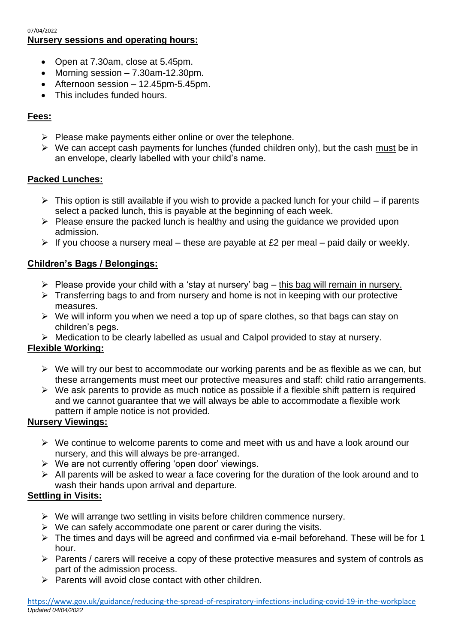#### 07/04/2022 **Nursery sessions and operating hours:**

- Open at 7.30am, close at 5.45pm.
- Morning session  $-7.30$ am-12.30pm.
- Afternoon session 12.45pm-5.45pm.
- This includes funded hours.

# **Fees:**

- ➢ Please make payments either online or over the telephone.
- $\triangleright$  We can accept cash payments for lunches (funded children only), but the cash must be in an envelope, clearly labelled with your child's name.

# **Packed Lunches:**

- $\triangleright$  This option is still available if you wish to provide a packed lunch for your child if parents select a packed lunch, this is payable at the beginning of each week.
- ➢ Please ensure the packed lunch is healthy and using the guidance we provided upon admission.
- $\triangleright$  If you choose a nursery meal these are payable at £2 per meal paid daily or weekly.

# **Children's Bags / Belongings:**

- $\triangleright$  Please provide your child with a 'stay at nursery' bag this bag will remain in nursery.
- ➢ Transferring bags to and from nursery and home is not in keeping with our protective measures.
- $\triangleright$  We will inform you when we need a top up of spare clothes, so that bags can stay on children's pegs.
- ➢ Medication to be clearly labelled as usual and Calpol provided to stay at nursery.

# **Flexible Working:**

- ➢ We will try our best to accommodate our working parents and be as flexible as we can, but these arrangements must meet our protective measures and staff: child ratio arrangements.
- $\triangleright$  We ask parents to provide as much notice as possible if a flexible shift pattern is required and we cannot guarantee that we will always be able to accommodate a flexible work pattern if ample notice is not provided.

# **Nursery Viewings:**

- ➢ We continue to welcome parents to come and meet with us and have a look around our nursery, and this will always be pre-arranged.
- ➢ We are not currently offering 'open door' viewings.
- $\triangleright$  All parents will be asked to wear a face covering for the duration of the look around and to wash their hands upon arrival and departure.

# **Settling in Visits:**

- $\triangleright$  We will arrange two settling in visits before children commence nursery.
- $\triangleright$  We can safely accommodate one parent or carer during the visits.
- ➢ The times and days will be agreed and confirmed via e-mail beforehand. These will be for 1 hour.
- ➢ Parents / carers will receive a copy of these protective measures and system of controls as part of the admission process.
- $\triangleright$  Parents will avoid close contact with other children.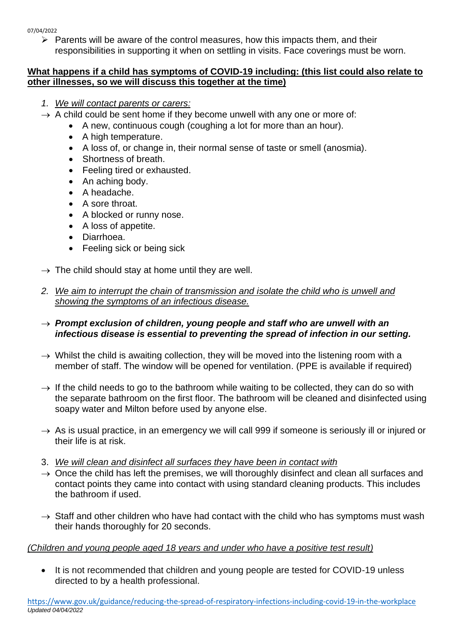$\triangleright$  Parents will be aware of the control measures, how this impacts them, and their responsibilities in supporting it when on settling in visits. Face coverings must be worn.

### **What happens if a child has symptoms of COVID-19 including: (this list could also relate to other illnesses, so we will discuss this together at the time)**

- *1. We will contact parents or carers:*
- $\rightarrow$  A child could be sent home if they become unwell with any one or more of:
	- A new, continuous cough (coughing a lot for more than an hour).
	- A high temperature.
	- A loss of, or change in, their normal sense of taste or smell (anosmia).
	- Shortness of breath.
	- Feeling tired or exhausted.
	- An aching body.
	- A headache.
	- A sore throat.
	- A blocked or runny nose.
	- A loss of appetite.
	- Diarrhoea.
	- Feeling sick or being sick
- $\rightarrow$  The child should stay at home until they are well.
- *2. We aim to interrupt the chain of transmission and isolate the child who is unwell and showing the symptoms of an infectious disease.*
- $\rightarrow$  Prompt exclusion of children, young people and staff who are unwell with an *infectious disease is essential to preventing the spread of infection in our setting.*
- $\rightarrow$  Whilst the child is awaiting collection, they will be moved into the listening room with a member of staff. The window will be opened for ventilation. (PPE is available if required)
- $\rightarrow$  If the child needs to go to the bathroom while waiting to be collected, they can do so with the separate bathroom on the first floor. The bathroom will be cleaned and disinfected using soapy water and Milton before used by anyone else.
- $\rightarrow$  As is usual practice, in an emergency we will call 999 if someone is seriously ill or injured or their life is at risk.
- 3. *We will clean and disinfect all surfaces they have been in contact with*
- $\rightarrow$  Once the child has left the premises, we will thoroughly disinfect and clean all surfaces and contact points they came into contact with using standard cleaning products. This includes the bathroom if used.
- $\rightarrow$  Staff and other children who have had contact with the child who has symptoms must wash their hands thoroughly for 20 seconds.

# *(Children and young people aged 18 years and under who have a positive test result)*

• It is not recommended that children and young people are tested for COVID-19 unless directed to by a health professional.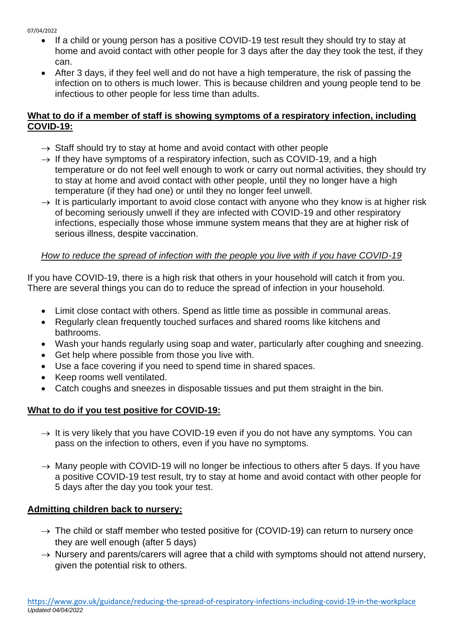- If a child or young person has a positive COVID-19 test result they should try to stay at home and avoid contact with other people for 3 days after the day they took the test, if they can.
- After 3 days, if they feel well and do not have a high temperature, the risk of passing the infection on to others is much lower. This is because children and young people tend to be infectious to other people for less time than adults.

# **What to do if a member of staff is showing symptoms of a respiratory infection, including COVID-19:**

- $\rightarrow$  Staff should try to stay at home and avoid contact with other people
- $\rightarrow$  If they have symptoms of a respiratory infection, such as COVID-19, and a high temperature or do not feel well enough to work or carry out normal activities, they should try to stay at home and avoid contact with other people, until they no longer have a high temperature (if they had one) or until they no longer feel unwell.
- $\rightarrow$  It is particularly important to avoid close contact with anyone who they know is at higher risk of becoming seriously unwell if they are infected with COVID-19 and other respiratory infections, especially those whose [immune system means that they are at higher risk of](https://www.gov.uk/government/publications/covid-19-guidance-for-people-whose-immune-system-means-they-are-at-higher-risk)  [serious illness, despite vaccination.](https://www.gov.uk/government/publications/covid-19-guidance-for-people-whose-immune-system-means-they-are-at-higher-risk)

# *How to reduce the spread of infection with the people you live with if you have COVID-19*

If you have COVID-19, there is a high risk that others in your household will catch it from you. There are several things you can do to reduce the spread of infection in your household.

- Limit close contact with others. Spend as little time as possible in communal areas.
- Regularly clean frequently touched surfaces and shared rooms like kitchens and bathrooms.
- Wash your hands regularly using soap and water, particularly after coughing and sneezing.
- Get help where possible from those you live with.
- Use a face covering if you need to spend time in shared spaces.
- Keep rooms well ventilated.
- Catch coughs and sneezes in disposable tissues and put them straight in the bin.

# **What to do if you test positive for COVID-19:**

- $\rightarrow$  It is very likely that you have COVID-19 even if you do not have any symptoms. You can pass on the infection to others, even if you have no symptoms.
- $\rightarrow$  Many people with COVID-19 will no longer be infectious to others after 5 days. If you have a positive COVID-19 test result, try to stay at home and avoid contact with other people for 5 days after the day you took your test.

# **Admitting children back to nursery:**

- $\rightarrow$  The child or staff member who tested positive for (COVID-19) can return to nursery once they are well enough (after 5 days)
- $\rightarrow$  Nursery and parents/carers will agree that a child with symptoms should not attend nursery, given the potential risk to others.